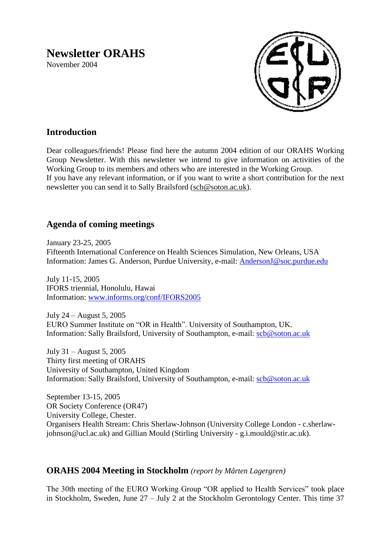# **Newsletter ORAHS**

November 2004



# **Introduction**

Dear colleagues/friends! Please find here the autumn 2004 edition of our ORAHS Working Group Newsletter. With this newsletter we intend to give information on activities of the Working Group to its members and others who are interested in the Working Group. If you have any relevant information, or if you want to write a short contribution for the next newsletter you can send it to Sally Brailsford [\(scb@soton.ac.uk\)](mailto:scb@soton.ac.uk).

# **Agenda of coming meetings**

January 23-25, 2005 Fifteenth International Conference on Health Sciences Simulation, New Orleans, USA Information: James G. Anderson, Purdue University, e-mail: [AndersonJ@soc.purdue.edu](mailto:AndersonJ@soc.purdue.edu)

July 11-15, 2005 IFORS triennial, Honolulu, Hawai Information: [www.informs.org/conf/IFORS2005](http://www.informs.org/conf/IFORS2005)

July 24 – August 5, 2005 EURO Summer Institute on "OR in Health". University of Southampton, UK. Information: Sally Brailsford, University of Southampton, e-mail: [scb@soton.ac.uk](mailto:scb@soton.ac.uk)

July 31 – August 5, 2005 Thirty first meeting of ORAHS University of Southampton, United Kingdom Information: Sally Brailsford, University of Southampton, e-mail: [scb@soton.ac.uk](mailto:scb@soton.ac.uk)

September 13-15, 2005 OR Society Conference (OR47) University College, Chester. Organisers Health Stream: Chris Sherlaw-Johnson (University College London - c.sherlawjohnson@ucl.ac.uk) and Gillian Mould (Stirling University - g.i.mould@stir.ac.uk).

# **ORAHS 2004 Meeting in Stockholm** *(report by Mårten Lagergren)*

The 30th meeting of the EURO Working Group "OR applied to Health Services" took place in Stockholm, Sweden, June 27 – July 2 at the Stockholm Gerontology Center. This time 37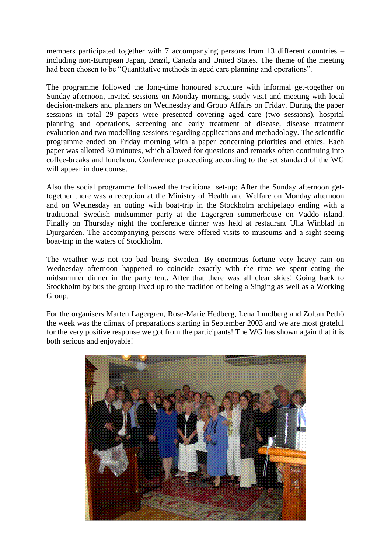members participated together with 7 accompanying persons from 13 different countries – including non-European Japan, Brazil, Canada and United States. The theme of the meeting had been chosen to be "Quantitative methods in aged care planning and operations".

The programme followed the long-time honoured structure with informal get-together on Sunday afternoon, invited sessions on Monday morning, study visit and meeting with local decision-makers and planners on Wednesday and Group Affairs on Friday. During the paper sessions in total 29 papers were presented covering aged care (two sessions), hospital planning and operations, screening and early treatment of disease, disease treatment evaluation and two modelling sessions regarding applications and methodology. The scientific programme ended on Friday morning with a paper concerning priorities and ethics. Each paper was allotted 30 minutes, which allowed for questions and remarks often continuing into coffee-breaks and luncheon. Conference proceeding according to the set standard of the WG will appear in due course.

Also the social programme followed the traditional set-up: After the Sunday afternoon gettogether there was a reception at the Ministry of Health and Welfare on Monday afternoon and on Wednesday an outing with boat-trip in the Stockholm archipelago ending with a traditional Swedish midsummer party at the Lagergren summerhouse on Vaddo island. Finally on Thursday night the conference dinner was held at restaurant Ulla Winblad in Djurgarden. The accompanying persons were offered visits to museums and a sight-seeing boat-trip in the waters of Stockholm.

The weather was not too bad being Sweden. By enormous fortune very heavy rain on Wednesday afternoon happened to coincide exactly with the time we spent eating the midsummer dinner in the party tent. After that there was all clear skies! Going back to Stockholm by bus the group lived up to the tradition of being a Singing as well as a Working Group.

For the organisers Marten Lagergren, Rose-Marie Hedberg, Lena Lundberg and Zoltan Pethö the week was the climax of preparations starting in September 2003 and we are most grateful for the very positive response we got from the participants! The WG has shown again that it is both serious and enjoyable!

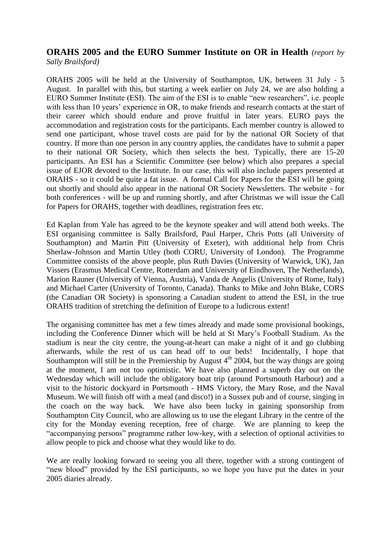## **ORAHS 2005 and the EURO Summer Institute on OR in Health** *(report by Sally Brailsford)*

ORAHS 2005 will be held at the University of Southampton, UK, between 31 July - 5 August. In parallel with this, but starting a week earlier on July 24, we are also holding a EURO Summer Institute (ESI). The aim of the ESI is to enable "new researchers", i.e. people with less than 10 years' experience in OR, to make friends and research contacts at the start of their career which should endure and prove fruitful in later years. EURO pays the accommodation and registration costs for the participants. Each member country is allowed to send one participant, whose travel costs are paid for by the national OR Society of that country. If more than one person in any country applies, the candidates have to submit a paper to their national OR Society, which then selects the best. Typically, there are 15-20 participants. An ESI has a Scientific Committee (see below) which also prepares a special issue of EJOR devoted to the Institute. In our case, this will also include papers presented at ORAHS - so it could be quite a fat issue. A formal Call for Papers for the ESI will be going out shortly and should also appear in the national OR Society Newsletters. The website - for both conferences - will be up and running shortly, and after Christmas we will issue the Call for Papers for ORAHS, together with deadlines, registration fees etc.

Ed Kaplan from Yale has agreed to be the keynote speaker and will attend both weeks. The ESI organising committee is Sally Brailsford, Paul Harper, Chris Potts (all University of Southampton) and Martin Pitt (University of Exeter), with additional help from Chris Sherlaw-Johnson and Martin Utley (both CORU, University of London). The Programme Committee consists of the above people, plus Ruth Davies (University of Warwick, UK), Jan Vissers (Erasmus Medical Centre, Rotterdam and University of Eindhoven, The Netherlands), Marion Rauner (University of Vienna, Austria), Vanda de Angelis (University of Rome, Italy) and Michael Carter (University of Toronto, Canada). Thanks to Mike and John Blake, CORS (the Canadian OR Society) is sponsoring a Canadian student to attend the ESI, in the true ORAHS tradition of stretching the definition of Europe to a ludicrous extent!

The organising committee has met a few times already and made some provisional bookings, including the Conference Dinner which will be held at St Mary's Football Stadium. As the stadium is near the city centre, the young-at-heart can make a night of it and go clubbing afterwards, while the rest of us can head off to our beds! Incidentally, I hope that Southampton will still be in the Premiership by August  $4<sup>th</sup>$  2004, but the way things are going at the moment, I am not too optimistic. We have also planned a superb day out on the Wednesday which will include the obligatory boat trip (around Portsmouth Harbour) and a visit to the historic dockyard in Portsmouth - HMS Victory, the Mary Rose, and the Naval Museum. We will finish off with a meal (and disco!) in a Sussex pub and of course, singing in the coach on the way back. We have also been lucky in gaining sponsorship from Southampton City Council, who are allowing us to use the elegant Library in the centre of the city for the Monday evening reception, free of charge. We are planning to keep the "accompanying persons" programme rather low-key, with a selection of optional activities to allow people to pick and choose what they would like to do.

We are really looking forward to seeing you all there, together with a strong contingent of "new blood" provided by the ESI participants, so we hope you have put the dates in your 2005 diaries already.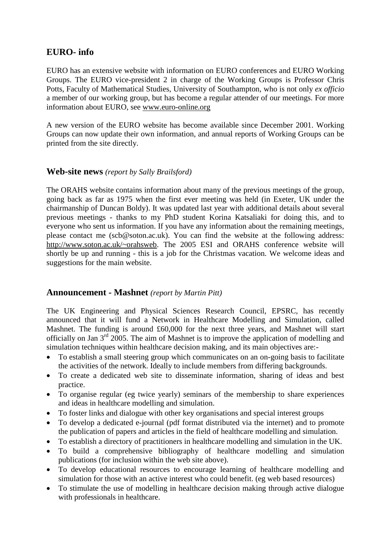# **EURO- info**

EURO has an extensive website with information on EURO conferences and EURO Working Groups. The EURO vice-president 2 in charge of the Working Groups is Professor Chris Potts, Faculty of Mathematical Studies, University of Southampton, who is not only *ex officio* a member of our working group, but has become a regular attender of our meetings. For more information about EURO, see [www.euro-online.org](http://www.euro-online.org/)

A new version of the EURO website has become available since December 2001. Working Groups can now update their own information, and annual reports of Working Groups can be printed from the site directly.

## **Web-site news** *(report by Sally Brailsford)*

The ORAHS website contains information about many of the previous meetings of the group, going back as far as 1975 when the first ever meeting was held (in Exeter, UK under the chairmanship of Duncan Boldy). It was updated last year with additional details about several previous meetings - thanks to my PhD student Korina Katsaliaki for doing this, and to everyone who sent us information. If you have any information about the remaining meetings, please contact me (scb@soton.ac.uk). You can find the website at the following address: [http://www.soton.ac.uk/~orahsweb.](http://www.soton.ac.uk/~orahsweb) The 2005 ESI and ORAHS conference website will shortly be up and running - this is a job for the Christmas vacation. We welcome ideas and suggestions for the main website.

## **Announcement - Mashnet** *(report by Martin Pitt)*

The UK Engineering and Physical Sciences Research Council, EPSRC, has recently announced that it will fund a Network in Healthcare Modelling and Simulation, called Mashnet. The funding is around £60,000 for the next three years, and Mashnet will start officially on Jan  $3<sup>rd</sup>$  2005. The aim of Mashnet is to improve the application of modelling and simulation techniques within healthcare decision making, and its main objectives are:-

- To establish a small steering group which communicates on an on-going basis to facilitate the activities of the network. Ideally to include members from differing backgrounds.
- To create a dedicated web site to disseminate information, sharing of ideas and best practice.
- To organise regular (eg twice yearly) seminars of the membership to share experiences and ideas in healthcare modelling and simulation.
- To foster links and dialogue with other key organisations and special interest groups
- To develop a dedicated e-journal (pdf format distributed via the internet) and to promote the publication of papers and articles in the field of healthcare modelling and simulation.
- To establish a directory of practitioners in healthcare modelling and simulation in the UK.
- To build a comprehensive bibliography of healthcare modelling and simulation publications (for inclusion within the web site above).
- To develop educational resources to encourage learning of healthcare modelling and simulation for those with an active interest who could benefit. (eg web based resources)
- To stimulate the use of modelling in healthcare decision making through active dialogue with professionals in healthcare.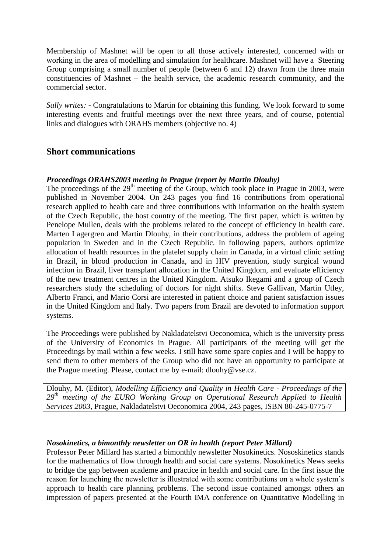Membership of Mashnet will be open to all those actively interested, concerned with or working in the area of modelling and simulation for healthcare. Mashnet will have a Steering Group comprising a small number of people (between 6 and 12) drawn from the three main constituencies of Mashnet – the health service, the academic research community, and the commercial sector.

*Sally writes: -* Congratulations to Martin for obtaining this funding. We look forward to some interesting events and fruitful meetings over the next three years, and of course, potential links and dialogues with ORAHS members (objective no. 4)

## **Short communications**

#### *Proceedings ORAHS2003 meeting in Prague (report by Martin Dlouhy)*

The proceedings of the  $29<sup>th</sup>$  meeting of the Group, which took place in Prague in 2003, were published in November 2004. On 243 pages you find 16 contributions from operational research applied to health care and three contributions with information on the health system of the Czech Republic, the host country of the meeting. The first paper, which is written by Penelope Mullen, deals with the problems related to the concept of efficiency in health care. Marten Lagergren and Martin Dlouhy, in their contributions, address the problem of ageing population in Sweden and in the Czech Republic. In following papers, authors optimize allocation of health resources in the platelet supply chain in Canada, in a virtual clinic setting in Brazil, in blood production in Canada, and in HIV prevention, study surgical wound infection in Brazil, liver transplant allocation in the United Kingdom, and evaluate efficiency of the new treatment centres in the United Kingdom. Atsuko Ikegami and a group of Czech researchers study the scheduling of doctors for night shifts. Steve Gallivan, Martin Utley, Alberto Franci, and Mario Corsi are interested in patient choice and patient satisfaction issues in the United Kingdom and Italy. Two papers from Brazil are devoted to information support systems.

The Proceedings were published by Nakladatelstvi Oeconomica, which is the university press of the University of Economics in Prague. All participants of the meeting will get the Proceedings by mail within a few weeks. I still have some spare copies and I will be happy to send them to other members of the Group who did not have an opportunity to participate at the Prague meeting. Please, contact me by e-mail: dlouhy@vse.cz.

Dlouhy, M. (Editor), *Modelling Efficiency and Quality in Health Care - Proceedings of the 29th meeting of the EURO Working Group on Operational Research Applied to Health Services 2003*, Prague, Nakladatelstvi Oeconomica 2004, 243 pages, ISBN 80-245-0775-7

#### *Nosokinetics, a bimonthly newsletter on OR in health (report Peter Millard)*

Professor Peter Millard has started a bimonthly newsletter Nosokinetics. Nososkinetics stands for the mathematics of flow through health and social care systems. Nosokinetics News seeks to bridge the gap between academe and practice in health and social care. In the first issue the reason for launching the newsletter is illustrated with some contributions on a whole system's approach to health care planning problems. The second issue contained amongst others an impression of papers presented at the Fourth IMA conference on Quantitative Modelling in